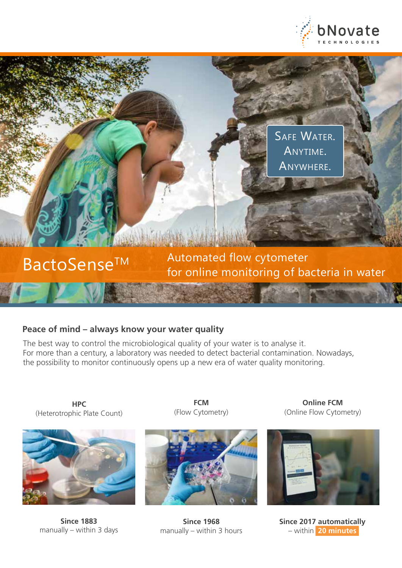

SAFE WATER. Anytime. Anywhere.

BactoSense<sup>TM</sup> Automated flow cytometer<br>for online monitoring of bacteria in water

### **Peace of mind – always know your water quality**

The best way to control the microbiological quality of your water is to analyse it. For more than a century, a laboratory was needed to detect bacterial contamination. Nowadays, the possibility to monitor continuously opens up a new era of water quality monitoring.

**HPC** (Heterotrophic Plate Count)



**Since 1883** manually – within 3 days

**FCM** (Flow Cytometry)



**Since 1968** manually – within 3 hours

**Online FCM** (Online Flow Cytometry)



**Since 2017 automatically**  – within **20 minutes**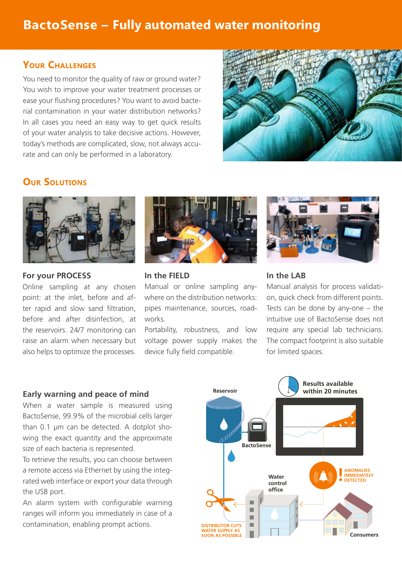# **BactoSense – Fully automated water monitoring**

## **Your Challenges**

You need to monitor the quality of raw or ground water? You wish to improve your water treatment processes or ease your flushing procedures? You want to avoid bacterial contamination in your water distribution networks? In all cases you need an easy way to get quick results of your water analysis to take decisive actions. However, today's methods are complicated, slow, not always accurate and can only be performed in a laboratory.



# **Our Solutions**



#### **For your PROCESS**

Online sampling at any chosen point: at the inlet, before and after rapid and slow sand filtration, before and after disinfection, at the reservoirs. 24/7 monitoring can raise an alarm when necessary but also helps to optimize the processes.



#### **In the FIELD**

Manual or online sampling anywhere on the distribution networks: pipes maintenance, sources, roadworks.

Portability, robustness, and low voltage power supply makes the device fully field compatible.



#### **In the LAB**

Manual analysis for process validation, quick check from different points. Tests can be done by any-one – the intuitive use of BactoSense does not require any special lab technicians. The compact footprint is also suitable for limited spaces.

#### **Early warning and peace of mind**

When a water sample is measured using BactoSense, 99.9% of the microbial cells larger than 0.1 μm can be detected. A dotplot showing the exact quantity and the approximate size of each bacteria is represented.

To retrieve the results, you can choose between a remote access via Ethernet by using the integrated web interface or export your data through the USB port.

An alarm system with configurable warning ranges will inform you immediately in case of a contamination, enabling prompt actions.

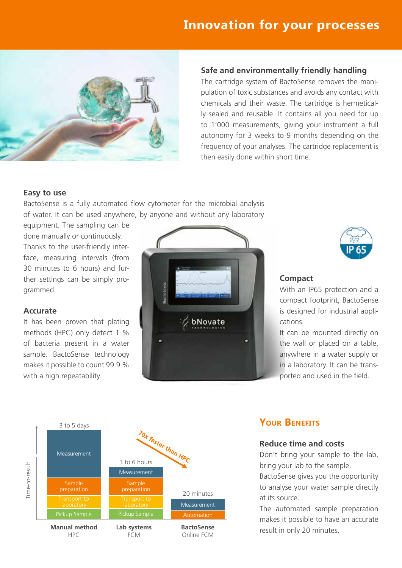# **Innovation for your processes**



#### **Safe and environmentally friendly handling**

The cartridge system of BactoSense removes the manipulation of toxic substances and avoids any contact with chemicals and their waste. The cartridge is hermetically sealed and reusable. It contains all you need for up to 1'000 measurements, giving your instrument a full autonomy for 3 weeks to 9 months depending on the frequency of your analyses. The cartridge replacement is then easily done within short time.

#### **Easy to use**

BactoSense is a fully automated flow cytometer for the microbial analysis of water. It can be used anywhere, by anyone and without any laboratory

equipment. The sampling can be done manually or continuously. Thanks to the user-friendly interface, measuring intervals (from 30 minutes to 6 hours) and further settings can be simply programmed.

#### **Accurate**

It has been proven that plating methods (HPC) only detect 1 % of bacteria present in a water sample. BactoSense technology makes it possible to count 99.9 % with a high repeatability.





#### **Compact**

With an IP65 protection and a compact footprint, BactoSense is designed for industrial applications.

It can be mounted directly on the wall or placed on a table, anywhere in a water supply or in a laboratory. It can be transported and used in the field.



# **Your Benefits**

#### **Reduce time and costs**

Don't bring your sample to the lab, bring your lab to the sample.

BactoSense gives you the opportunity to analyse your water sample directly at its source.

The automated sample preparation makes it possible to have an accurate result in only 20 minutes.